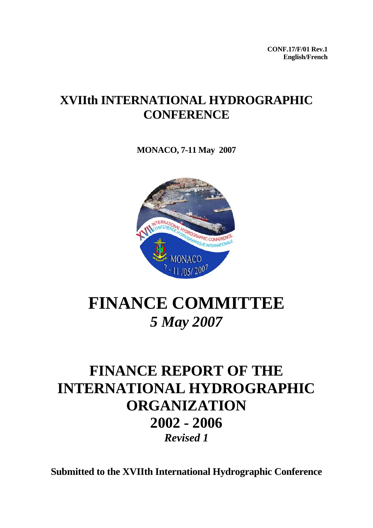**CONF.17/F/01 Rev.1 English/French** 

# **XVIIth INTERNATIONAL HYDROGRAPHIC CONFERENCE**

**MONACO, 7-11 May 2007**



# **FINANCE COMMITTEE**  *5 May 2007*

# **FINANCE REPORT OF THE INTERNATIONAL HYDROGRAPHIC ORGANIZATION 2002 - 2006**  *Revised 1*

**Submitted to the XVIIth International Hydrographic Conference**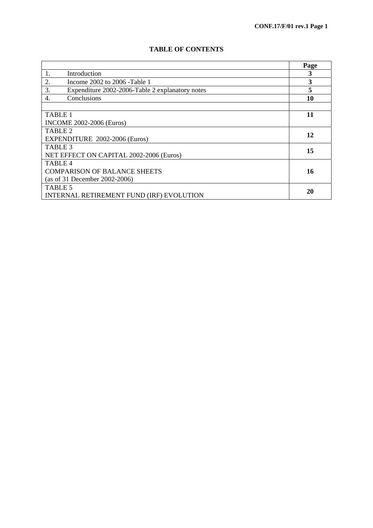|  |  | <b>TABLE OF CONTENTS</b> |
|--|--|--------------------------|
|--|--|--------------------------|

|                                                       | Page |
|-------------------------------------------------------|------|
| Introduction<br>1.                                    | 3    |
| 2.<br>Income 2002 to 2006 - Table 1                   | 3    |
| 3.<br>Expenditure 2002-2006-Table 2 explanatory notes |      |
| Conclusions<br>4.                                     | 10   |
|                                                       |      |
| <b>TABLE 1</b>                                        | 11   |
| <b>INCOME 2002-2006 (Euros)</b>                       |      |
| TABLE <sub>2</sub>                                    | 12   |
| EXPENDITURE 2002-2006 (Euros)                         |      |
| TABLE 3                                               | 15   |
| NET EFFECT ON CAPITAL 2002-2006 (Euros)               |      |
| TABLE <sub>4</sub>                                    |      |
| <b>COMPARISON OF BALANCE SHEETS</b>                   | 16   |
| (as of 31 December 2002-2006)                         |      |
| TABLE 5                                               | 20   |
| INTERNAL RETIREMENT FUND (IRF) EVOLUTION              |      |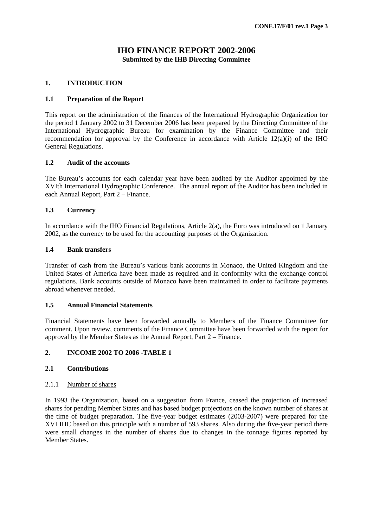# **IHO FINANCE REPORT 2002-2006 Submitted by the IHB Directing Committee**

#### **1. INTRODUCTION**

#### **1.1 Preparation of the Report**

This report on the administration of the finances of the International Hydrographic Organization for the period 1 January 2002 to 31 December 2006 has been prepared by the Directing Committee of the International Hydrographic Bureau for examination by the Finance Committee and their recommendation for approval by the Conference in accordance with Article 12(a)(i) of the IHO General Regulations.

#### **1.2 Audit of the accounts**

The Bureau's accounts for each calendar year have been audited by the Auditor appointed by the XVIth International Hydrographic Conference. The annual report of the Auditor has been included in each Annual Report, Part 2 – Finance.

# **1.3 Currency**

In accordance with the IHO Financial Regulations, Article 2(a), the Euro was introduced on 1 January 2002, as the currency to be used for the accounting purposes of the Organization.

#### **1.4 Bank transfers**

Transfer of cash from the Bureau's various bank accounts in Monaco, the United Kingdom and the United States of America have been made as required and in conformity with the exchange control regulations. Bank accounts outside of Monaco have been maintained in order to facilitate payments abroad whenever needed.

#### **1.5 Annual Financial Statements**

Financial Statements have been forwarded annually to Members of the Finance Committee for comment. Upon review, comments of the Finance Committee have been forwarded with the report for approval by the Member States as the Annual Report, Part 2 – Finance.

# **2. INCOME 2002 TO 2006 -TABLE 1**

# **2.1 Contributions**

#### 2.1.1 Number of shares

In 1993 the Organization, based on a suggestion from France, ceased the projection of increased shares for pending Member States and has based budget projections on the known number of shares at the time of budget preparation. The five-year budget estimates (2003-2007) were prepared for the XVI IHC based on this principle with a number of 593 shares. Also during the five-year period there were small changes in the number of shares due to changes in the tonnage figures reported by Member States.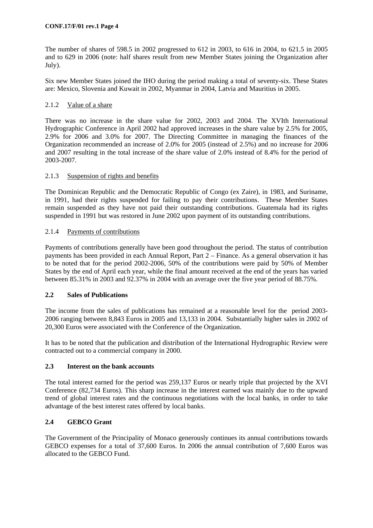The number of shares of 598.5 in 2002 progressed to 612 in 2003, to 616 in 2004, to 621.5 in 2005 and to 629 in 2006 (note: half shares result from new Member States joining the Organization after July).

Six new Member States joined the IHO during the period making a total of seventy-six. These States are: Mexico, Slovenia and Kuwait in 2002, Myanmar in 2004, Latvia and Mauritius in 2005.

# 2.1.2 Value of a share

There was no increase in the share value for 2002, 2003 and 2004. The XVIth International Hydrographic Conference in April 2002 had approved increases in the share value by 2.5% for 2005, 2.9% for 2006 and 3.0% for 2007. The Directing Committee in managing the finances of the Organization recommended an increase of 2.0% for 2005 (instead of 2.5%) and no increase for 2006 and 2007 resulting in the total increase of the share value of 2.0% instead of 8.4% for the period of 2003-2007.

# 2.1.3 Suspension of rights and benefits

The Dominican Republic and the Democratic Republic of Congo (ex Zaire), in 1983, and Suriname, in 1991, had their rights suspended for failing to pay their contributions. These Member States remain suspended as they have not paid their outstanding contributions. Guatemala had its rights suspended in 1991 but was restored in June 2002 upon payment of its outstanding contributions.

# 2.1.4 Payments of contributions

Payments of contributions generally have been good throughout the period. The status of contribution payments has been provided in each Annual Report, Part 2 – Finance. As a general observation it has to be noted that for the period 2002-2006, 50% of the contributions were paid by 50% of Member States by the end of April each year, while the final amount received at the end of the years has varied between 85.31% in 2003 and 92.37% in 2004 with an average over the five year period of 88.75%.

# **2.2 Sales of Publications**

The income from the sales of publications has remained at a reasonable level for the period 2003- 2006 ranging between 8,843 Euros in 2005 and 13,133 in 2004. Substantially higher sales in 2002 of 20,300 Euros were associated with the Conference of the Organization.

It has to be noted that the publication and distribution of the International Hydrographic Review were contracted out to a commercial company in 2000.

# **2.3 Interest on the bank accounts**

The total interest earned for the period was 259,137 Euros or nearly triple that projected by the XVI Conference (82,734 Euros). This sharp increase in the interest earned was mainly due to the upward trend of global interest rates and the continuous negotiations with the local banks, in order to take advantage of the best interest rates offered by local banks.

# **2.4 GEBCO Grant**

The Government of the Principality of Monaco generously continues its annual contributions towards GEBCO expenses for a total of 37,600 Euros. In 2006 the annual contribution of 7,600 Euros was allocated to the GEBCO Fund.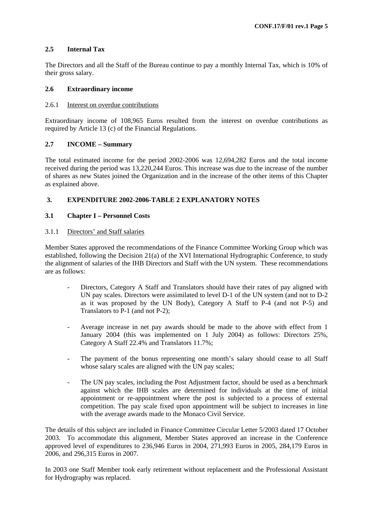# **2.5 Internal Tax**

The Directors and all the Staff of the Bureau continue to pay a monthly Internal Tax, which is 10% of their gross salary.

# **2.6 Extraordinary income**

# 2.6.1 Interest on overdue contributions

Extraordinary income of 108,965 Euros resulted from the interest on overdue contributions as required by Article 13 (c) of the Financial Regulations.

# **2.7 INCOME – Summary**

The total estimated income for the period 2002-2006 was 12,694,282 Euros and the total income received during the period was 13,220,244 Euros. This increase was due to the increase of the number of shares as new States joined the Organization and in the increase of the other items of this Chapter as explained above.

# **3. EXPENDITURE 2002-2006-TABLE 2 EXPLANATORY NOTES**

# **3.1 Chapter I – Personnel Costs**

# 3.1.1 Directors' and Staff salaries

Member States approved the recommendations of the Finance Committee Working Group which was established, following the Decision 21(a) of the XVI International Hydrographic Conference, to study the alignment of salaries of the IHB Directors and Staff with the UN system. These recommendations are as follows:

- Directors, Category A Staff and Translators should have their rates of pay aligned with UN pay scales. Directors were assimilated to level D-1 of the UN system (and not to D-2 as it was proposed by the UN Body), Category A Staff to P-4 (and not P-5) and Translators to P-1 (and not P-2);
- Average increase in net pay awards should be made to the above with effect from 1 January 2004 (this was implemented on 1 July 2004) as follows: Directors 25%, Category A Staff 22.4% and Translators 11.7%;
- The payment of the bonus representing one month's salary should cease to all Staff whose salary scales are aligned with the UN pay scales;
- The UN pay scales, including the Post Adjustment factor, should be used as a benchmark against which the IHB scales are determined for individuals at the time of initial appointment or re-appointment where the post is subjected to a process of external competition. The pay scale fixed upon appointment will be subject to increases in line with the average awards made to the Monaco Civil Service.

The details of this subject are included in Finance Committee Circular Letter 5/2003 dated 17 October 2003. To accommodate this alignment, Member States approved an increase in the Conference approved level of expenditures to 236,946 Euros in 2004, 271,993 Euros in 2005, 284,179 Euros in 2006, and 296,315 Euros in 2007.

In 2003 one Staff Member took early retirement without replacement and the Professional Assistant for Hydrography was replaced.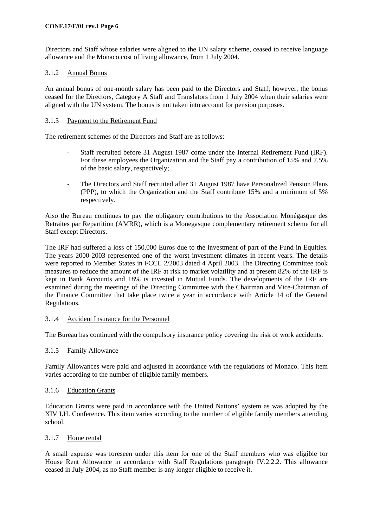Directors and Staff whose salaries were aligned to the UN salary scheme, ceased to receive language allowance and the Monaco cost of living allowance, from 1 July 2004.

# 3.1.2 Annual Bonus

An annual bonus of one-month salary has been paid to the Directors and Staff; however, the bonus ceased for the Directors, Category A Staff and Translators from 1 July 2004 when their salaries were aligned with the UN system. The bonus is not taken into account for pension purposes.

# 3.1.3 Payment to the Retirement Fund

The retirement schemes of the Directors and Staff are as follows:

- Staff recruited before 31 August 1987 come under the Internal Retirement Fund (IRF). For these employees the Organization and the Staff pay a contribution of 15% and 7.5% of the basic salary, respectively;
- The Directors and Staff recruited after 31 August 1987 have Personalized Pension Plans (PPP), to which the Organization and the Staff contribute 15% and a minimum of 5% respectively.

Also the Bureau continues to pay the obligatory contributions to the Association Monégasque des Retraites par Repartition (AMRR), which is a Monegasque complementary retirement scheme for all Staff except Directors.

The IRF had suffered a loss of 150,000 Euros due to the investment of part of the Fund in Equities. The years 2000-2003 represented one of the worst investment climates in recent years. The details were reported to Member States in FCCL 2/2003 dated 4 April 2003. The Directing Committee took measures to reduce the amount of the IRF at risk to market volatility and at present 82% of the IRF is kept in Bank Accounts and 18% is invested in Mutual Funds. The developments of the IRF are examined during the meetings of the Directing Committee with the Chairman and Vice-Chairman of the Finance Committee that take place twice a year in accordance with Article 14 of the General Regulations.

# 3.1.4 Accident Insurance for the Personnel

The Bureau has continued with the compulsory insurance policy covering the risk of work accidents.

# 3.1.5 Family Allowance

Family Allowances were paid and adjusted in accordance with the regulations of Monaco. This item varies according to the number of eligible family members.

# 3.1.6 Education Grants

Education Grants were paid in accordance with the United Nations' system as was adopted by the XIV I.H. Conference. This item varies according to the number of eligible family members attending school.

# 3.1.7 Home rental

A small expense was foreseen under this item for one of the Staff members who was eligible for House Rent Allowance in accordance with Staff Regulations paragraph IV.2.2.2. This allowance ceased in July 2004, as no Staff member is any longer eligible to receive it.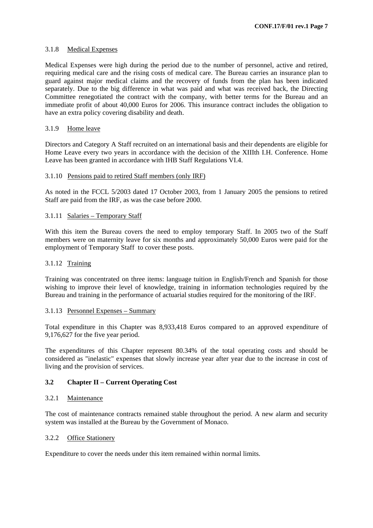#### 3.1.8 Medical Expenses

Medical Expenses were high during the period due to the number of personnel, active and retired, requiring medical care and the rising costs of medical care. The Bureau carries an insurance plan to guard against major medical claims and the recovery of funds from the plan has been indicated separately. Due to the big difference in what was paid and what was received back, the Directing Committee renegotiated the contract with the company, with better terms for the Bureau and an immediate profit of about 40,000 Euros for 2006. This insurance contract includes the obligation to have an extra policy covering disability and death.

# 3.1.9 Home leave

Directors and Category A Staff recruited on an international basis and their dependents are eligible for Home Leave every two years in accordance with the decision of the XIIIth I.H. Conference. Home Leave has been granted in accordance with IHB Staff Regulations VI.4.

#### 3.1.10 Pensions paid to retired Staff members (only IRF)

As noted in the FCCL 5/2003 dated 17 October 2003, from 1 January 2005 the pensions to retired Staff are paid from the IRF, as was the case before 2000.

#### 3.1.11 Salaries – Temporary Staff

With this item the Bureau covers the need to employ temporary Staff. In 2005 two of the Staff members were on maternity leave for six months and approximately 50,000 Euros were paid for the employment of Temporary Staff to cover these posts.

#### 3.1.12 Training

Training was concentrated on three items: language tuition in English/French and Spanish for those wishing to improve their level of knowledge, training in information technologies required by the Bureau and training in the performance of actuarial studies required for the monitoring of the IRF.

#### 3.1.13 Personnel Expenses – Summary

Total expenditure in this Chapter was 8,933,418 Euros compared to an approved expenditure of 9,176,627 for the five year period.

The expenditures of this Chapter represent 80.34% of the total operating costs and should be considered as "inelastic" expenses that slowly increase year after year due to the increase in cost of living and the provision of services.

# **3.2 Chapter II – Current Operating Cost**

#### 3.2.1 Maintenance

The cost of maintenance contracts remained stable throughout the period. A new alarm and security system was installed at the Bureau by the Government of Monaco.

#### 3.2.2 Office Stationery

Expenditure to cover the needs under this item remained within normal limits.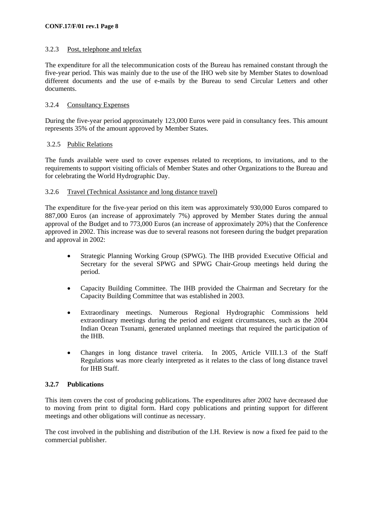# 3.2.3 Post, telephone and telefax

The expenditure for all the telecommunication costs of the Bureau has remained constant through the five-year period. This was mainly due to the use of the IHO web site by Member States to download different documents and the use of e-mails by the Bureau to send Circular Letters and other documents.

#### 3.2.4 Consultancy Expenses

During the five-year period approximately 123,000 Euros were paid in consultancy fees. This amount represents 35% of the amount approved by Member States.

#### 3.2.5 Public Relations

The funds available were used to cover expenses related to receptions, to invitations, and to the requirements to support visiting officials of Member States and other Organizations to the Bureau and for celebrating the World Hydrographic Day.

#### 3.2.6 Travel (Technical Assistance and long distance travel)

The expenditure for the five-year period on this item was approximately 930,000 Euros compared to 887,000 Euros (an increase of approximately 7%) approved by Member States during the annual approval of the Budget and to 773,000 Euros (an increase of approximately 20%) that the Conference approved in 2002. This increase was due to several reasons not foreseen during the budget preparation and approval in 2002:

- Strategic Planning Working Group (SPWG). The IHB provided Executive Official and Secretary for the several SPWG and SPWG Chair-Group meetings held during the period.
- Capacity Building Committee. The IHB provided the Chairman and Secretary for the Capacity Building Committee that was established in 2003.
- Extraordinary meetings. Numerous Regional Hydrographic Commissions held extraordinary meetings during the period and exigent circumstances, such as the 2004 Indian Ocean Tsunami, generated unplanned meetings that required the participation of the IHB.
- Changes in long distance travel criteria. In 2005, Article VIII.1.3 of the Staff Regulations was more clearly interpreted as it relates to the class of long distance travel for IHB Staff.

# **3.2.7 Publications**

This item covers the cost of producing publications. The expenditures after 2002 have decreased due to moving from print to digital form. Hard copy publications and printing support for different meetings and other obligations will continue as necessary.

The cost involved in the publishing and distribution of the I.H. Review is now a fixed fee paid to the commercial publisher.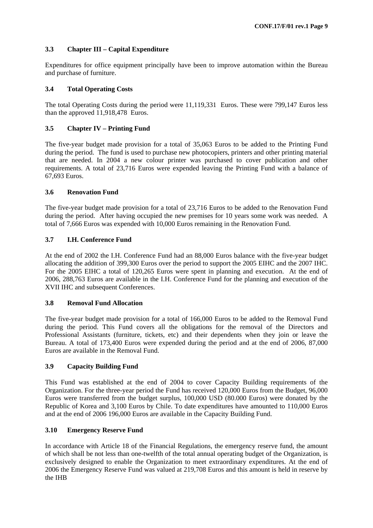# **3.3 Chapter III – Capital Expenditure**

Expenditures for office equipment principally have been to improve automation within the Bureau and purchase of furniture.

# **3.4 Total Operating Costs**

The total Operating Costs during the period were 11,119,331 Euros. These were 799,147 Euros less than the approved 11,918,478 Euros.

# **3.5 Chapter IV – Printing Fund**

The five-year budget made provision for a total of 35,063 Euros to be added to the Printing Fund during the period. The fund is used to purchase new photocopiers, printers and other printing material that are needed. In 2004 a new colour printer was purchased to cover publication and other requirements. A total of 23,716 Euros were expended leaving the Printing Fund with a balance of 67,693 Euros.

# **3.6 Renovation Fund**

The five-year budget made provision for a total of 23,716 Euros to be added to the Renovation Fund during the period. After having occupied the new premises for 10 years some work was needed. A total of 7,666 Euros was expended with 10,000 Euros remaining in the Renovation Fund.

# **3.7 I.H. Conference Fund**

At the end of 2002 the I.H. Conference Fund had an 88,000 Euros balance with the five-year budget allocating the addition of 399,300 Euros over the period to support the 2005 EIHC and the 2007 IHC. For the 2005 EIHC a total of 120,265 Euros were spent in planning and execution. At the end of 2006, 288,763 Euros are available in the I.H. Conference Fund for the planning and execution of the XVII IHC and subsequent Conferences.

# **3.8 Removal Fund Allocation**

The five-year budget made provision for a total of 166,000 Euros to be added to the Removal Fund during the period. This Fund covers all the obligations for the removal of the Directors and Professional Assistants (furniture, tickets, etc) and their dependents when they join or leave the Bureau. A total of 173,400 Euros were expended during the period and at the end of 2006, 87,000 Euros are available in the Removal Fund.

# **3.9 Capacity Building Fund**

This Fund was established at the end of 2004 to cover Capacity Building requirements of the Organization. For the three-year period the Fund has received 120,000 Euros from the Budget, 96,000 Euros were transferred from the budget surplus, 100,000 USD (80.000 Euros) were donated by the Republic of Korea and 3,100 Euros by Chile. To date expenditures have amounted to 110,000 Euros and at the end of 2006 196,000 Euros are available in the Capacity Building Fund.

# **3.10 Emergency Reserve Fund**

In accordance with Article 18 of the Financial Regulations, the emergency reserve fund, the amount of which shall be not less than one-twelfth of the total annual operating budget of the Organization, is exclusively designed to enable the Organization to meet extraordinary expenditures. At the end of 2006 the Emergency Reserve Fund was valued at 219,708 Euros and this amount is held in reserve by the IHB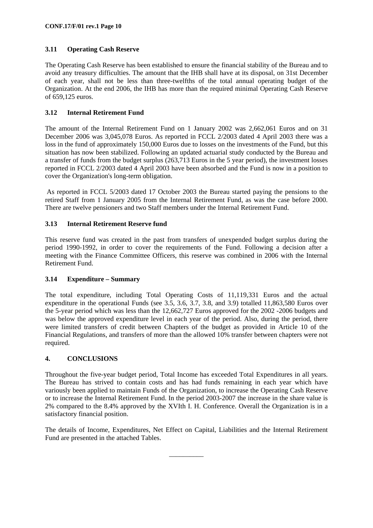# **3.11 Operating Cash Reserve**

The Operating Cash Reserve has been established to ensure the financial stability of the Bureau and to avoid any treasury difficulties. The amount that the IHB shall have at its disposal, on 31st December of each year, shall not be less than three-twelfths of the total annual operating budget of the Organization. At the end 2006, the IHB has more than the required minimal Operating Cash Reserve of 659,125 euros.

# **3.12 Internal Retirement Fund**

The amount of the Internal Retirement Fund on 1 January 2002 was 2,662,061 Euros and on 31 December 2006 was 3,045,078 Euros. As reported in FCCL 2/2003 dated 4 April 2003 there was a loss in the fund of approximately 150,000 Euros due to losses on the investments of the Fund, but this situation has now been stabilized. Following an updated actuarial study conducted by the Bureau and a transfer of funds from the budget surplus (263,713 Euros in the 5 year period), the investment losses reported in FCCL 2/2003 dated 4 April 2003 have been absorbed and the Fund is now in a position to cover the Organization's long-term obligation.

 As reported in FCCL 5/2003 dated 17 October 2003 the Bureau started paying the pensions to the retired Staff from 1 January 2005 from the Internal Retirement Fund, as was the case before 2000. There are twelve pensioners and two Staff members under the Internal Retirement Fund.

# **3.13 Internal Retirement Reserve fund**

This reserve fund was created in the past from transfers of unexpended budget surplus during the period 1990-1992, in order to cover the requirements of the Fund. Following a decision after a meeting with the Finance Committee Officers, this reserve was combined in 2006 with the Internal Retirement Fund.

# **3.14 Expenditure – Summary**

The total expenditure, including Total Operating Costs of 11,119,331 Euros and the actual expenditure in the operational Funds (see 3.5, 3.6, 3.7, 3.8, and 3.9) totalled 11,863,580 Euros over the 5-year period which was less than the 12,662,727 Euros approved for the 2002 -2006 budgets and was below the approved expenditure level in each year of the period. Also, during the period, there were limited transfers of credit between Chapters of the budget as provided in Article 10 of the Financial Regulations, and transfers of more than the allowed 10% transfer between chapters were not required.

# **4. CONCLUSIONS**

Throughout the five-year budget period, Total Income has exceeded Total Expenditures in all years. The Bureau has strived to contain costs and has had funds remaining in each year which have variously been applied to maintain Funds of the Organization, to increase the Operating Cash Reserve or to increase the Internal Retirement Fund. In the period 2003-2007 the increase in the share value is 2% compared to the 8.4% approved by the XVIth I. H. Conference. Overall the Organization is in a satisfactory financial position.

The details of Income, Expenditures, Net Effect on Capital, Liabilities and the Internal Retirement Fund are presented in the attached Tables.

\_\_\_\_\_\_\_\_\_\_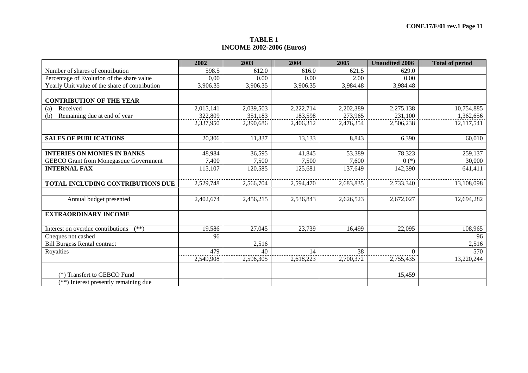#### **TABLE 1 INCOME 2002-2006 (Euros)**

|                                                | 2002      | 2003      | 2004      | 2005      | <b>Unaudited 2006</b> | <b>Total of period</b> |
|------------------------------------------------|-----------|-----------|-----------|-----------|-----------------------|------------------------|
| Number of shares of contribution               | 598.5     | 612.0     | 616.0     | 621.5     | 629.0                 |                        |
| Percentage of Evolution of the share value     | 0,00      | 0.00      | 0.00      | 2.00      | 0.00                  |                        |
| Yearly Unit value of the share of contribution | 3,906.35  | 3,906.35  | 3,906.35  | 3,984.48  | 3,984.48              |                        |
|                                                |           |           |           |           |                       |                        |
| <b>CONTRIBUTION OF THE YEAR</b>                |           |           |           |           |                       |                        |
| Received<br>(a)                                | 2,015,141 | 2,039,503 | 2,222,714 | 2,202,389 | 2,275,138             | 10,754,885             |
| Remaining due at end of year<br>(b)            | 322,809   | 351,183   | 183,598   | 273,965   | 231,100               | 1,362,656              |
|                                                | 2,337,950 | 2,390,686 | 2,406,312 | 2,476,354 | 2,506,238             | 12,117,541             |
|                                                |           |           |           |           |                       |                        |
| <b>SALES OF PUBLICATIONS</b>                   | 20,306    | 11,337    | 13,133    | 8,843     | 6,390                 | 60,010                 |
|                                                |           |           |           |           |                       |                        |
| <b>INTERIES ON MONIES IN BANKS</b>             | 48,984    | 36,595    | 41,845    | 53,389    | 78,323                | 259,137                |
| <b>GEBCO Grant from Monegasque Government</b>  | 7,400     | 7,500     | 7,500     | 7,600     | $0(*)$                | 30,000                 |
| <b>INTERNAL FAX</b>                            | 115,107   | 120,585   | 125,681   | 137,649   | 142,390               | 641,411                |
|                                                |           |           |           |           |                       |                        |
| TOTAL INCLUDING CONTRIBUTIONS DUE              | 2,529,748 | 2,566,704 | 2,594,470 | 2,683,835 | 2,733,340             | 13,108,098             |
|                                                |           |           |           |           |                       |                        |
| Annual budget presented                        | 2,402,674 | 2,456,215 | 2,536,843 | 2,626,523 | 2,672,027             | 12,694,282             |
|                                                |           |           |           |           |                       |                        |
| <b>EXTRAORDINARY INCOME</b>                    |           |           |           |           |                       |                        |
|                                                |           |           |           |           |                       |                        |
| Interest on overdue contributions<br>$(**)$    | 19,586    | 27,045    | 23,739    | 16,499    | 22,095                | 108,965                |
| Cheques not cashed                             | 96        |           |           |           |                       | 96                     |
| <b>Bill Burgess Rental contract</b>            |           | 2,516     |           |           |                       | 2,516                  |
| Royalties                                      | 479       | 40        | 14        | 38        | $\Omega$              | 570                    |
|                                                | 2,549,908 | 2,596,305 | 2,618,223 | 2,700,372 | 2,755,435             | 13,220,244             |
|                                                |           |           |           |           |                       |                        |
| (*) Transfert to GEBCO Fund                    |           |           |           |           | 15,459                |                        |
| (**) Interest presently remaining due          |           |           |           |           |                       |                        |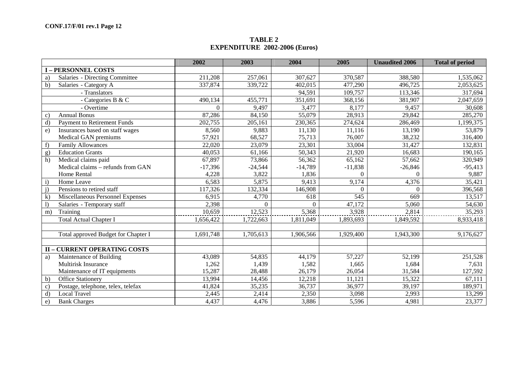#### **TABLE 2 EXPENDITURE 2002-2006 (Euros)**

|                                                    | 2002           | 2003      | 2004      | 2005      | <b>Unaudited 2006</b> | <b>Total of period</b> |
|----------------------------------------------------|----------------|-----------|-----------|-----------|-----------------------|------------------------|
| <b>I-PERSONNEL COSTS</b>                           |                |           |           |           |                       |                        |
| <b>Salaries - Directing Committee</b><br>a)        | 211,208        | 257,061   | 307,627   | 370,587   | 388,580               | 1,535,062              |
| Salaries - Category A<br>$\mathbf{b}$              | 337,874        | 339,722   | 402,015   | 477,290   | 496,725               | 2,053,625              |
| - Translators                                      |                |           | 94,591    | 109,757   | 113,346               | 317,694                |
| - Categories B & C                                 | 490,134        | 455,771   | 351,691   | 368,156   | 381,907               | 2,047,659              |
| - Overtime                                         | $\overline{0}$ | 9,497     | 3,477     | 8,177     | 9,457                 | 30,608                 |
| <b>Annual Bonus</b><br>$\mathcal{C}$ )             | 87,286         | 84,150    | 55,079    | 28,913    | 29,842                | 285,270                |
| <b>Payment to Retirement Funds</b><br>d)           | 202,755        | 205,161   | 230,365   | 274,624   | 286,469               | 1,199,375              |
| Insurances based on staff wages<br>$\epsilon$ )    | 8,560          | 9,883     | 11,130    | 11,116    | 13,190                | 53,879                 |
| Medical GAN premiums                               | 57,921         | 68,527    | 75,713    | 76,007    | 38,232                | 316,400                |
| <b>Family Allowances</b>                           | 22,020         | 23,079    | 23,301    | 33,004    | 31,427                | 132,831                |
| <b>Education Grants</b><br>g)                      | 40,053         | 61,166    | 50,343    | 21,920    | 16,683                | 190,165                |
| Medical claims paid<br>h)                          | 67,897         | 73,866    | 56,362    | 65,162    | 57,662                | 320,949                |
| Medical claims - refunds from GAN                  | $-17,396$      | $-24,544$ | $-14,789$ | $-11,838$ | $-26,846$             | $-95,413$              |
| Home Rental                                        | 4,228          | 3,822     | 1,836     | $\Omega$  | $\Omega$              | 9,887                  |
| Home Leave<br>$\mathbf{i}$                         | 6,583          | 5,875     | 9,413     | 9,174     | 4,376                 | 35,421                 |
| Pensions to retired staff<br>$\mathbf{i}$          | 117,326        | 132,334   | 146,908   | 0         | $\Omega$              | 396,568                |
| Miscellaneous Personnel Expenses<br>$\bf{k}$       | 6,915          | 4,770     | 618       | 545       | 669                   | 13,517                 |
| Salaries - Temporary staff<br>$\overline{1}$       | 2,398          | $\Omega$  | $\Omega$  | 47,172    | 5,060                 | 54,630                 |
| Training<br>m)                                     | 10,659         | 12,523    | 5,368     | 3,928     | 2,814                 | 35,293                 |
| <b>Total Actual Chapter I</b>                      | 1,656,422      | 1,722,663 | 1,811,049 | 1,893,693 | 1,849,592             | 8,933,418              |
| Total approved Budget for Chapter I                | 1,691,748      | 1,705,613 | 1,906,566 | 1,929,400 | 1,943,300             | 9,176,627              |
| <b>II - CURRENT OPERATING COSTS</b>                |                |           |           |           |                       |                        |
| Maintenance of Building<br>a)                      | 43,089         | 54,835    | 44,179    | 57,227    | 52,199                | 251,528                |
| <b>Multirisk Insurance</b>                         | 1,262          | 1,439     | 1,582     | 1,665     | 1,684                 | 7,631                  |
| Maintenance of IT equipments                       | 15,287         | 28,488    | 26,179    | 26,054    | 31,584                | 127,592                |
| Office Stationery<br>$\mathbf{b}$                  | 13,994         | 14,456    | 12,218    | 11,121    | 15,322                | 67,111                 |
| Postage, telephone, telex, telefax<br>$\mathbf{c}$ | 41,824         | 35,235    | 36,737    | 36,977    | 39,197                | 189,971                |
| <b>Local Travel</b><br>d)                          | 2,445          | 2,414     | 2,350     | 3,098     | 2,993                 | 13,299                 |
| <b>Bank Charges</b><br>e)                          | 4,437          | 4,476     | 3,886     | 5,596     | 4,981                 | 23,377                 |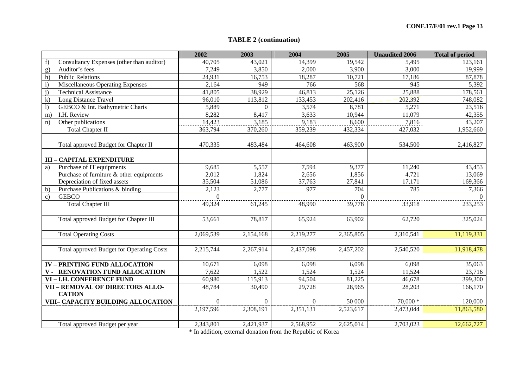# **TABLE 2 (continuation)**

|                                                   | 2002      | 2003      | 2004      | 2005      | <b>Unaudited 2006</b> | <b>Total of period</b> |
|---------------------------------------------------|-----------|-----------|-----------|-----------|-----------------------|------------------------|
| Consultancy Expenses (other than auditor)<br>f    | 40,705    | 43,021    | 14,399    | 19,542    | 5,495                 | 123,161                |
| Auditor's fees<br>g)                              | 7,249     | 3,850     | 2,000     | 3,900     | 3,000                 | 19,999                 |
| <b>Public Relations</b><br>h)                     | 24,931    | 16,753    | 18,287    | 10,721    | 17,186                | 87,878                 |
| Miscellaneous Operating Expenses<br>$\mathbf{i}$  | 2,164     | 949       | 766       | 568       | 945                   | 5,392                  |
| $\mathbf{i}$<br><b>Technical Assistance</b>       | 41,805    | 38,929    | 46,813    | 25,126    | 25,888                | 178,561                |
| $\bf k$<br>Long Distance Travel                   | 96,010    | 113,812   | 133,453   | 202,416   | 202,392               | 748,082                |
| GEBCO & Int. Bathymetric Charts<br>$\overline{1}$ | 5,889     | $\Omega$  | 3,574     | 8,781     | 5,271                 | 23,516                 |
| I.H. Review<br>m)                                 | 8,282     | 8,417     | 3,633     | 10,944    | 11,079                | 42,355                 |
| Other publications<br>n)                          | 14,423    | 3,185     | 9,183     | 8,600     | 7,816                 | 43,207                 |
| <b>Total Chapter II</b>                           | 363,794   | 370,260   | 359,239   | 432,334   | 427,032               | 1,952,660              |
|                                                   |           |           |           |           |                       |                        |
| Total approved Budget for Chapter II              | 470,335   | 483,484   | 464,608   | 463,900   | 534,500               | 2,416,827              |
|                                                   |           |           |           |           |                       |                        |
| <b>III - CAPITAL EXPENDITURE</b>                  |           |           |           |           |                       |                        |
| Purchase of IT equipments<br>a)                   | 9,685     | 5,557     | 7,594     | 9,377     | 11,240                | 43,453                 |
| Purchase of furniture & other equipments          | 2,012     | 1,824     | 2,656     | 1,856     | 4,721                 | 13,069                 |
| Depreciation of fixed assets                      | 35,504    | 51,086    | 37,763    | 27,841    | 17,171                | 169,366                |
| Purchase Publications & binding<br>b)             | 2,123     | 2,777     | 977       | 704       | 785                   | 7,366                  |
| <b>GEBCO</b><br>$\mathbf{c}$                      | $\Omega$  |           |           | $\Omega$  |                       | $\Omega$               |
| <b>Total Chapter III</b>                          | 49,324    | 61,245    | 48,990    | 39,778    | 33,918                | 233,253                |
|                                                   |           |           |           |           |                       |                        |
| Total approved Budget for Chapter III             | 53,661    | 78,817    | 65,924    | 63,902    | 62,720                | 325,024                |
|                                                   |           |           |           |           |                       |                        |
| <b>Total Operating Costs</b>                      | 2,069,539 | 2,154,168 | 2,219,277 | 2,365,805 | 2,310,541             | 11,119,331             |
|                                                   |           |           |           |           |                       |                        |
| Total approved Budget for Operating Costs         | 2,215,744 | 2,267,914 | 2,437,098 | 2,457,202 | 2,540,520             | 11,918,478             |
|                                                   |           |           |           |           |                       |                        |
| <b>IV-PRINTING FUND ALLOCATION</b>                | 10,671    | 6,098     | 6,098     | 6,098     | 6,098                 | 35,063                 |
| <b>RENOVATION FUND ALLOCATION</b><br>$V -$        | 7,622     | 1,522     | 1,524     | 1,524     | 11,524                | 23,716                 |
| VI - I.H. CONFERENCE FUND                         | 60,980    | 115,913   | 94,504    | 81,225    | 46,678                | 399,300                |
| VII - REMOVAL OF DIRECTORS ALLO-                  | 48,784    | 30,490    | 29,728    | 28,965    | 28,203                | 166,170                |
| <b>CATION</b>                                     |           |           |           |           |                       |                        |
| VIII- CAPACITY BUILDING ALLOCATION                | $\Omega$  | $\Omega$  | $\Omega$  | 50 000    | $70,000*$             | 120,000                |
|                                                   | 2,197,596 | 2,308,191 | 2,351,131 | 2,523,617 | 2,473,044             | 11,863,580             |
|                                                   |           |           |           |           |                       |                        |
| Total approved Budget per year                    | 2,343,801 | 2,421,937 | 2,568,952 | 2,625,014 | 2,703,023             | 12,662,727             |

\* In addition, external donation from the Republic of Korea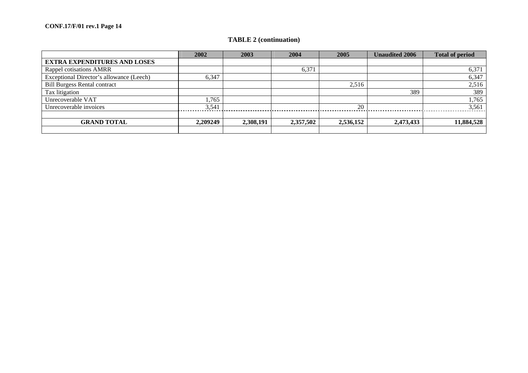# **TABLE 2 (continuation)**

|                                          | 2002     | 2003      | 2004      | 2005      | <b>Unaudited 2006</b> | <b>Total of period</b> |
|------------------------------------------|----------|-----------|-----------|-----------|-----------------------|------------------------|
| <b>EXTRA EXPENDITURES AND LOSES</b>      |          |           |           |           |                       |                        |
| Rappel cotisations AMRR                  |          |           | 6,371     |           |                       | 6,371                  |
| Exceptional Director's allowance (Leech) | 6,347    |           |           |           |                       | 6,347                  |
| <b>Bill Burgess Rental contract</b>      |          |           |           | 2,516     |                       | 2,516                  |
| Tax litigation                           |          |           |           |           | 389                   | 389                    |
| Unrecoverable VAT                        | 1,765    |           |           |           |                       | 1,765                  |
| Unrecoverable invoices                   | 3,541    |           |           | 20        |                       | 3,561                  |
|                                          |          |           |           |           |                       |                        |
| <b>GRAND TOTAL</b>                       | 2,209249 | 2,308,191 | 2,357,502 | 2,536,152 | 2,473,433             | 11,884,528             |
|                                          |          |           |           |           |                       |                        |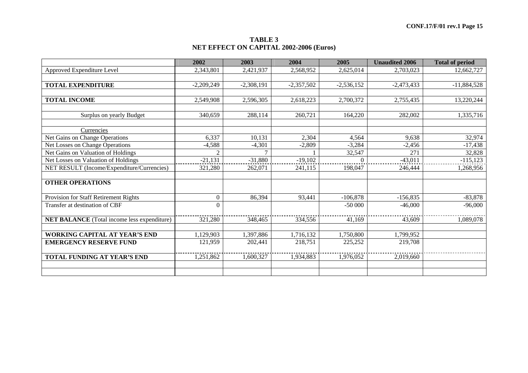#### **TABLE 3 NET EFFECT ON CAPITAL 2002-2006 (Euros)**

|                                                    | 2002             | 2003         | 2004         | 2005         | <b>Unaudited 2006</b> | <b>Total of period</b> |
|----------------------------------------------------|------------------|--------------|--------------|--------------|-----------------------|------------------------|
| Approved Expenditure Level                         | 2,343,801        | 2,421,937    | 2,568,952    | 2,625,014    | 2,703,023             | 12,662,727             |
|                                                    |                  |              |              |              |                       |                        |
| <b>TOTAL EXPENDITURE</b>                           | $-2,209,249$     | $-2,308,191$ | $-2,357,502$ | $-2,536,152$ | $-2,473,433$          | $-11,884,528$          |
|                                                    |                  |              |              |              |                       |                        |
| <b>TOTAL INCOME</b>                                | 2,549,908        | 2,596,305    | 2,618,223    | 2,700,372    | 2,755,435             | 13,220,244             |
|                                                    |                  |              |              |              |                       |                        |
| Surplus on yearly Budget                           | 340,659          | 288,114      | 260,721      | 164,220      | 282,002               | 1,335,716              |
|                                                    |                  |              |              |              |                       |                        |
| Currencies                                         |                  |              |              |              |                       |                        |
| Net Gains on Change Operations                     | 6,337            | 10,131       | 2,304        | 4,564        | 9,638                 | 32,974                 |
| Net Losses on Change Operations                    | $-4,588$         | $-4,301$     | $-2,809$     | $-3,284$     | $-2,456$              | $-17,438$              |
| Net Gains on Valuation of Holdings                 | $\overline{2}$   | $\tau$       |              | 32,547       | 271                   | 32,828                 |
| Net Losses on Valuation of Holdings                | $-21,131$        | $-31,880$    | $-19,102$    |              | $-43,011$             | $-115,123$             |
| NET RESULT (Income/Expenditure/Currencies)         | 321,280          | 262,071      | 241,115      | 198,047      | 246,444               | 1,268,956              |
|                                                    |                  |              |              |              |                       |                        |
| <b>OTHER OPERATIONS</b>                            |                  |              |              |              |                       |                        |
|                                                    |                  |              |              |              |                       |                        |
| Provision for Staff Retirement Rights              | $\boldsymbol{0}$ | 86,394       | 93,441       | $-106,878$   | $-156,835$            | $-83,878$              |
| Transfer at destination of CBF                     | $\Omega$         |              |              | $-50000$     | $-46,000$             | $-96,000$              |
|                                                    |                  |              |              |              |                       |                        |
| <b>NET BALANCE</b> (Total income less expenditure) | 321,280          | 348,465      | 334,556      | 41,169       | 43,609                | 1,089,078              |
|                                                    |                  |              |              |              |                       |                        |
| <b>WORKING CAPITAL AT YEAR'S END</b>               | 1,129,903        | 1,397,886    | 1,716,132    | 1,750,800    | 1,799,952             |                        |
| <b>EMERGENCY RESERVE FUND</b>                      | 121,959          | 202,441      | 218,751      | 225,252      | 219,708               |                        |
|                                                    |                  |              |              |              |                       |                        |
| TOTAL FUNDING AT YEAR'S END                        | 1,251,862        | 1,600,327    | 1,934,883    | 1,976,052    | 2,019,660             |                        |
|                                                    |                  |              |              |              |                       |                        |
|                                                    |                  |              |              |              |                       |                        |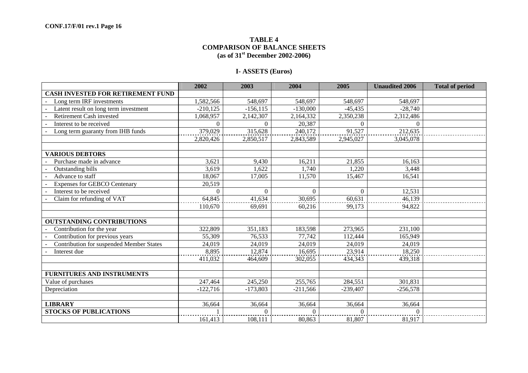# **TABLE 4 COMPARISON OF BALANCE SHEETS (as of 31st December 2002-2006)**

# **I- ASSETS (Euros)**

|                                          | 2002       | 2003        | 2004       | 2005                | <b>Unaudited 2006</b> | <b>Total of period</b> |
|------------------------------------------|------------|-------------|------------|---------------------|-----------------------|------------------------|
| <b>CASH INVESTED FOR RETIREMENT FUND</b> |            |             |            |                     |                       |                        |
| Long term IRF investments                | 1,582,566  | 548,697     | 548,697    | 548,697             | 548,697               |                        |
| Latent result on long term investment    | $-210,125$ | $-156, 115$ | $-130,000$ | $-45,435$           | $-28,740$             |                        |
| Retirement Cash invested                 | 1,068,957  | 2,142,307   | 2,164,332  | 2,350,238           | 2,312,486             |                        |
| Interest to be received                  | $\Omega$   | $\Omega$    | 20,387     | $\Omega$            | $\Omega$              |                        |
| Long term guaranty from IHB funds        | 379,029    | 315,628     | 240,172    | 91,527              | 212,635               |                        |
|                                          | 2,820,426  | 2,850,517   | 2,843,589  | 2,945,027           | 3,045,078             |                        |
|                                          |            |             |            |                     |                       |                        |
| <b>VARIOUS DEBTORS</b>                   |            |             |            |                     |                       |                        |
| Purchase made in advance                 | 3,621      | 9,430       | 16,211     | 21,855              | 16,163                |                        |
| <b>Outstanding bills</b>                 | 3,619      | 1,622       | 1,740      | 1,220               | 3,448                 |                        |
| Advance to staff                         | 18,067     | 17,005      | 11,570     | 15,467              | 16,541                |                        |
| <b>Expenses for GEBCO Centenary</b>      | 20,519     |             |            |                     |                       |                        |
| Interest to be received                  | $\Omega$   | $\Omega$    | $\Omega$   | $\Omega$            | 12,531                |                        |
| Claim for refunding of VAT               | 64,845     | 41,634      | 30,695     | 60,631              | 46,139                |                        |
|                                          | 110,670    | 69,691      | 60,216     | 99,173              | 94,822                |                        |
|                                          |            |             |            |                     |                       |                        |
| <b>OUTSTANDING CONTRIBUTIONS</b>         |            |             |            |                     |                       |                        |
| Contribution for the year                | 322,809    | 351,183     | 183,598    | 273,965             | 231,100               |                        |
| Contribution for previous years          | 55,309     | 76,533      | 77,742     | 112,444             | 165,949               |                        |
| Contribution for suspended Member States | 24,019     | 24,019      | 24,019     | 24,019              | 24,019                |                        |
| Interest due                             | 8,895      | 12,874      | 16,695     | $23,91\overline{4}$ | 18,250                |                        |
|                                          | 411,032    | 464,609     | 302,055    | 434,343             | 439,318               |                        |
|                                          |            |             |            |                     |                       |                        |
| <b>FURNITURES AND INSTRUMENTS</b>        |            |             |            |                     |                       |                        |
| Value of purchases                       | 247,464    | 245,250     | 255,765    | 284,551             | 301,831               |                        |
| Depreciation                             | $-122,716$ | $-173,803$  | $-211,566$ | $-239,407$          | $-256,578$            |                        |
|                                          |            |             |            |                     |                       |                        |
| <b>LIBRARY</b>                           | 36,664     | 36,664      | 36,664     | 36,664              | 36,664                |                        |
| <b>STOCKS OF PUBLICATIONS</b>            |            | $\Omega$    | 0          | $\Omega$            | $\Omega$              |                        |
|                                          | 161,413    | 108,111     | 80,863     | 81,807              | 81,917                |                        |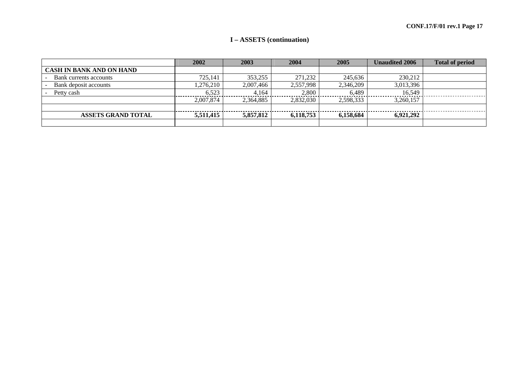# **I – ASSETS (continuation)**

|                                 | 2002      | 2003      | 2004      | 2005      | <b>Unaudited 2006</b> | <b>Total of period</b> |
|---------------------------------|-----------|-----------|-----------|-----------|-----------------------|------------------------|
| <b>CASH IN BANK AND ON HAND</b> |           |           |           |           |                       |                        |
| Bank currents accounts          | 725,141   | 353,255   | 271,232   | 245.636   | 230,212               |                        |
| Bank deposit accounts           | ,276,210  | 2,007,466 | 2,557,998 | 2,346,209 | 3,013,396             |                        |
| Petty cash                      | 6.523     | 4.164     | 2,800     | 6.489     | 16.549                |                        |
|                                 | 2,007,874 | 2.364.885 | 2.832,030 | 2,598,333 | 3,260,157             |                        |
|                                 |           |           |           |           |                       |                        |
| <b>ASSETS GRAND TOTAL</b>       | 5,511,415 | 5,857,812 | 6.118.753 | 6,158,684 | 6.921.292             |                        |
|                                 |           |           |           |           |                       |                        |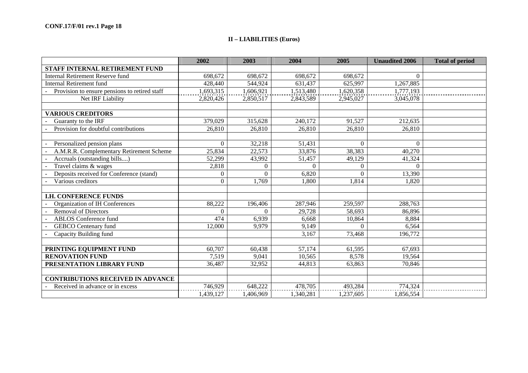# **II – LIABILITIES (Euros)**

|                                               | 2002         | 2003      | 2004      | 2005      | <b>Unaudited 2006</b> | <b>Total of period</b> |
|-----------------------------------------------|--------------|-----------|-----------|-----------|-----------------------|------------------------|
| STAFF INTERNAL RETIREMENT FUND                |              |           |           |           |                       |                        |
| Internal Retirement Reserve fund              | 698,672      | 698,672   | 698,672   | 698,672   | $\Omega$              |                        |
| <b>Internal Retirement fund</b>               | 428,440      | 544,924   | 631,437   | 625,997   | 1,267,885             |                        |
| Provision to ensure pensions to retired staff | ,693,315     | 1,606,921 | 1,513,480 | 1,620,358 | 1,777,193             |                        |
| Net IRF Liability                             | 2,820,426    | 2,850,517 | 2,843,589 | 2,945,027 | 3,045,078             |                        |
|                                               |              |           |           |           |                       |                        |
| <b>VARIOUS CREDITORS</b>                      |              |           |           |           |                       |                        |
| Guaranty to the IRF                           | 379,029      | 315,628   | 240,172   | 91,527    | 212,635               |                        |
| Provision for doubtful contributions          | 26,810       | 26,810    | 26,810    | 26,810    | 26,810                |                        |
|                                               |              |           |           |           |                       |                        |
| Personalized pension plans                    | $\mathbf{0}$ | 32,218    | 51,431    | $\Omega$  | $\Omega$              |                        |
| A.M.R.R. Complementary Retirement Scheme      | 25,834       | 22,573    | 33,876    | 38,383    | 40,270                |                        |
| Accruals (outstanding bills)                  | 52,299       | 43,992    | 51,457    | 49,129    | 41,324                |                        |
| Travel claims & wages                         | 2,818        | $\Omega$  | $\Omega$  | $\Omega$  | $\mathbf{0}$          |                        |
| Deposits received for Conference (stand)      | $\Omega$     | $\Omega$  | 6,820     | $\Omega$  | 13,390                |                        |
| Various creditors                             | $\Omega$     | 1,769     | 1,800     | 1,814     | 1,820                 |                        |
|                                               |              |           |           |           |                       |                        |
| <b>I.H. CONFERENCE FUNDS</b>                  |              |           |           |           |                       |                        |
| Organization of IH Conferences                | 88,222       | 196,406   | 287,946   | 259,597   | 288,763               |                        |
| <b>Removal of Directors</b>                   | $\theta$     | $\Omega$  | 29,728    | 58,693    | 86,896                |                        |
| <b>ABLOS</b> Conference fund                  | 474          | 6,939     | 6,668     | 10,864    | 8,884                 |                        |
| <b>GEBCO</b> Centenary fund                   | 12,000       | 9,979     | 9,149     | $\Omega$  | 6,564                 |                        |
| Capacity Building fund                        |              |           | 3,167     | 73,468    | 196,772               |                        |
|                                               |              |           |           |           |                       |                        |
| PRINTING EQUIPMENT FUND                       | 60,707       | 60,438    | 57,174    | 61,595    | 67,693                |                        |
| <b>RENOVATION FUND</b>                        | 7,519        | 9,041     | 10,565    | 8,578     | 19,564                |                        |
| PRESENTATION LIBRARY FUND                     | 36,487       | 32,952    | 44,813    | 63,863    | 70,846                |                        |
|                                               |              |           |           |           |                       |                        |
| <b>CONTRIBUTIONS RECEIVED IN ADVANCE</b>      |              |           |           |           |                       |                        |
| Received in advance or in excess              | 746,929      | 648,222   | 478,705   | 493,284   | 774,324               |                        |
|                                               | 1,439,127    | 1,406,969 | 1,340,281 | 1,237,605 | 1,856,554             |                        |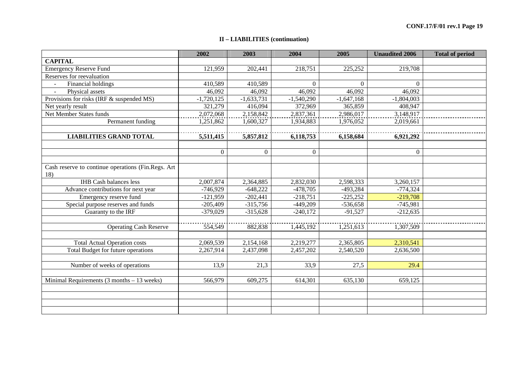# **II – LIABILITIES (continuation)**

|                                                    | 2002           | 2003         | 2004         | 2005         | <b>Unaudited 2006</b> | <b>Total of period</b> |
|----------------------------------------------------|----------------|--------------|--------------|--------------|-----------------------|------------------------|
| <b>CAPITAL</b>                                     |                |              |              |              |                       |                        |
| <b>Emergency Reserve Fund</b>                      | 121,959        | 202,441      | 218,751      | 225,252      | 219,708               |                        |
| Reserves for reevaluation                          |                |              |              |              |                       |                        |
| Financial holdings<br>$\sim$                       | 410,589        | 410,589      | $\Omega$     | $\Omega$     | $\Omega$              |                        |
| Physical assets<br>$\sim$                          | 46,092         | 46,092       | 46,092       | 46,092       | 46,092                |                        |
| Provisions for risks (IRF & suspended MS)          | $-1,720,125$   | $-1,633,731$ | $-1,540,290$ | $-1,647,168$ | $-1,804,003$          |                        |
| Net yearly result                                  | 321,279        | 416,094      | 372,969      | 365,859      | 408,947               |                        |
| <b>Net Member States funds</b>                     | 2,072,068      | 2,158,842    | 2,837,361    | 2,986,017    | 3,148,917             |                        |
| Permanent funding                                  | 1,251,862      | 1,600,327    | 1,934,883    | 1,976,052    | 2,019,661             |                        |
|                                                    |                |              |              |              |                       |                        |
| <b>LIABILITIES GRAND TOTAL</b>                     | 5,511,415      | 5,857,812    | 6,118,753    | 6,158,684    | 6,921,292             |                        |
|                                                    |                |              |              |              |                       |                        |
|                                                    | $\overline{0}$ | $\Omega$     | $\Omega$     |              | $\Omega$              |                        |
|                                                    |                |              |              |              |                       |                        |
| Cash reserve to continue operations (Fin.Regs. Art |                |              |              |              |                       |                        |
| 18)                                                |                |              |              |              |                       |                        |
| <b>IHB</b> Cash balances less                      | 2,007,874      | 2,364,885    | 2,832,030    | 2,598,333    | 3,260,157             |                        |
| Advance contributions for next year                | $-746,929$     | $-648,222$   | $-478,705$   | $-493,284$   | $-774,324$            |                        |
| Emergency reserve fund                             | $-121,959$     | $-202,441$   | $-218,751$   | $-225,252$   | $-219,708$            |                        |
| Special purpose reserves and funds                 | $-205,409$     | $-315,756$   | $-449,209$   | $-536,658$   | $-745,981$            |                        |
| Guaranty to the IRF                                | $-379,029$     | $-315,628$   | $-240,172$   | $-91,527$    | $-212,635$            |                        |
|                                                    |                |              |              |              |                       |                        |
| <b>Operating Cash Reserve</b>                      | 554,549        | 882,838      | 1,445,192    | 1,251,613    | 1,307,509             |                        |
|                                                    |                |              |              |              |                       |                        |
| <b>Total Actual Operation costs</b>                | 2,069,539      | 2,154,168    | 2,219,277    | 2,365,805    | 2,310,541             |                        |
| Total Budget for future operations                 | 2,267,914      | 2,437,098    | 2,457,202    | 2,540,520    | 2,636,500             |                        |
|                                                    |                |              |              |              |                       |                        |
| Number of weeks of operations                      | 13,9           | 21,3         | 33,9         | 27,5         | 29.4                  |                        |
|                                                    |                |              |              |              |                       |                        |
| Minimal Requirements $(3$ months $-13$ weeks)      | 566,979        | 609,275      | 614,301      | 635,130      | 659,125               |                        |
|                                                    |                |              |              |              |                       |                        |
|                                                    |                |              |              |              |                       |                        |
|                                                    |                |              |              |              |                       |                        |
|                                                    |                |              |              |              |                       |                        |